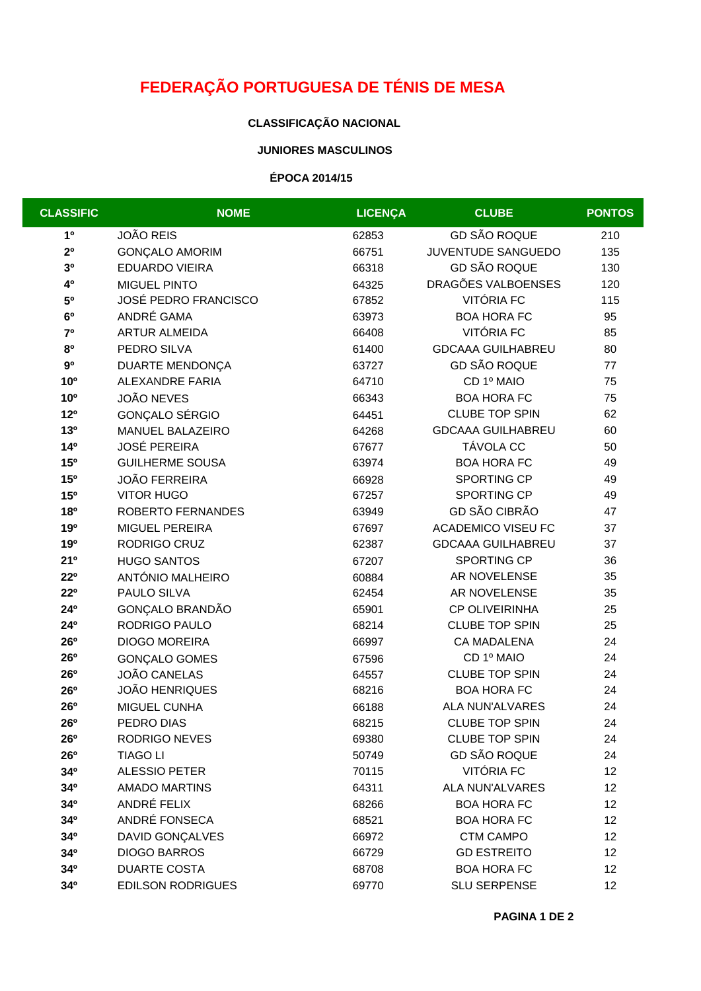# **FEDERAÇÃO PORTUGUESA DE TÉNIS DE MESA**

## **CLASSIFICAÇÃO NACIONAL**

### **JUNIORES MASCULINOS**

### **ÉPOCA 2014/15**

| <b>CLASSIFIC</b> | <b>NOME</b>                 | <b>LICENÇA</b> | <b>CLUBE</b>              | <b>PONTOS</b> |
|------------------|-----------------------------|----------------|---------------------------|---------------|
| 10               | <b>JOÃO REIS</b>            | 62853          | <b>GD SÃO ROQUE</b>       | 210           |
| 2 <sup>0</sup>   | <b>GONÇALO AMORIM</b>       | 66751          | JUVENTUDE SANGUEDO        | 135           |
| 30               | EDUARDO VIEIRA              | 66318          | <b>GD SÃO ROQUE</b>       | 130           |
| 40               | <b>MIGUEL PINTO</b>         | 64325          | DRAGÕES VALBOENSES        | 120           |
| 50               | <b>JOSÉ PEDRO FRANCISCO</b> | 67852          | VITÓRIA FC                | 115           |
| 6 <sup>0</sup>   | ANDRÉ GAMA                  | 63973          | <b>BOA HORA FC</b>        | 95            |
| 7 <sup>0</sup>   | <b>ARTUR ALMEIDA</b>        | 66408          | VITÓRIA FC                | 85            |
| 80               | PEDRO SILVA                 | 61400          | <b>GDCAAA GUILHABREU</b>  | 80            |
| 9 <sup>0</sup>   | DUARTE MENDONÇA             | 63727          | <b>GD SÃO ROQUE</b>       | 77            |
| 10 <sup>o</sup>  | ALEXANDRE FARIA             | 64710          | CD 1º MAIO                | 75            |
| 10 <sup>o</sup>  | <b>JOÃO NEVES</b>           | 66343          | <b>BOA HORA FC</b>        | 75            |
| 12 <sup>o</sup>  | GONÇALO SÉRGIO              | 64451          | <b>CLUBE TOP SPIN</b>     | 62            |
| 13 <sup>0</sup>  | MANUEL BALAZEIRO            | 64268          | <b>GDCAAA GUILHABREU</b>  | 60            |
| 14 <sup>o</sup>  | <b>JOSÉ PEREIRA</b>         | 67677          | TÁVOLA CC                 | 50            |
| 15 <sup>o</sup>  | <b>GUILHERME SOUSA</b>      | 63974          | <b>BOA HORA FC</b>        | 49            |
| 15 <sup>o</sup>  | <b>JOÃO FERREIRA</b>        | 66928          | SPORTING CP               | 49            |
| 15 <sup>o</sup>  | <b>VITOR HUGO</b>           | 67257          | SPORTING CP               | 49            |
| <b>18º</b>       | ROBERTO FERNANDES           | 63949          | GD SÃO CIBRÃO             | 47            |
| 190              | MIGUEL PEREIRA              | 67697          | <b>ACADEMICO VISEU FC</b> | 37            |
| 190              | RODRIGO CRUZ                | 62387          | <b>GDCAAA GUILHABREU</b>  | 37            |
| 21°              | <b>HUGO SANTOS</b>          | 67207          | SPORTING CP               | 36            |
| $22^{\circ}$     | ANTÓNIO MALHEIRO            | 60884          | AR NOVELENSE              | 35            |
| $22^{\circ}$     | PAULO SILVA                 | 62454          | AR NOVELENSE              | 35            |
| 24°              | GONÇALO BRANDÃO             | 65901          | CP OLIVEIRINHA            | 25            |
| 24°              | RODRIGO PAULO               | 68214          | <b>CLUBE TOP SPIN</b>     | 25            |
| <b>26°</b>       | <b>DIOGO MOREIRA</b>        | 66997          | <b>CA MADALENA</b>        | 24            |
| <b>26°</b>       | <b>GONÇALO GOMES</b>        | 67596          | CD 1º MAIO                | 24            |
| <b>26°</b>       | <b>JOÃO CANELAS</b>         | 64557          | <b>CLUBE TOP SPIN</b>     | 24            |
| <b>26°</b>       | <b>JOÃO HENRIQUES</b>       | 68216          | <b>BOA HORA FC</b>        | 24            |
| 26°              | MIGUEL CUNHA                | 66188          | <b>ALA NUN'ALVARES</b>    | 24            |
| 26°              | PEDRO DIAS                  | 68215          | <b>CLUBE TOP SPIN</b>     | 24            |
| 26 <sup>o</sup>  | <b>RODRIGO NEVES</b>        | 69380          | <b>CLUBE TOP SPIN</b>     | 24            |
| 26 <sup>o</sup>  | <b>TIAGO LI</b>             | 50749          | <b>GD SÃO ROQUE</b>       | 24            |
| 34°              | <b>ALESSIO PETER</b>        | 70115          | VITÓRIA FC                | 12            |
| 34 <sup>o</sup>  | <b>AMADO MARTINS</b>        | 64311          | <b>ALA NUN'ALVARES</b>    | 12            |
| 34°              | ANDRÉ FELIX                 | 68266          | <b>BOA HORA FC</b>        | 12            |
| 34°              | ANDRÉ FONSECA               | 68521          | <b>BOA HORA FC</b>        | 12            |
| 34°              | DAVID GONÇALVES             | 66972          | <b>CTM CAMPO</b>          | 12            |
| 34°              | <b>DIOGO BARROS</b>         | 66729          | <b>GD ESTREITO</b>        | 12            |
| 34°              | <b>DUARTE COSTA</b>         | 68708          | <b>BOA HORA FC</b>        | 12            |
| 34°              | <b>EDILSON RODRIGUES</b>    | 69770          | <b>SLU SERPENSE</b>       | 12            |